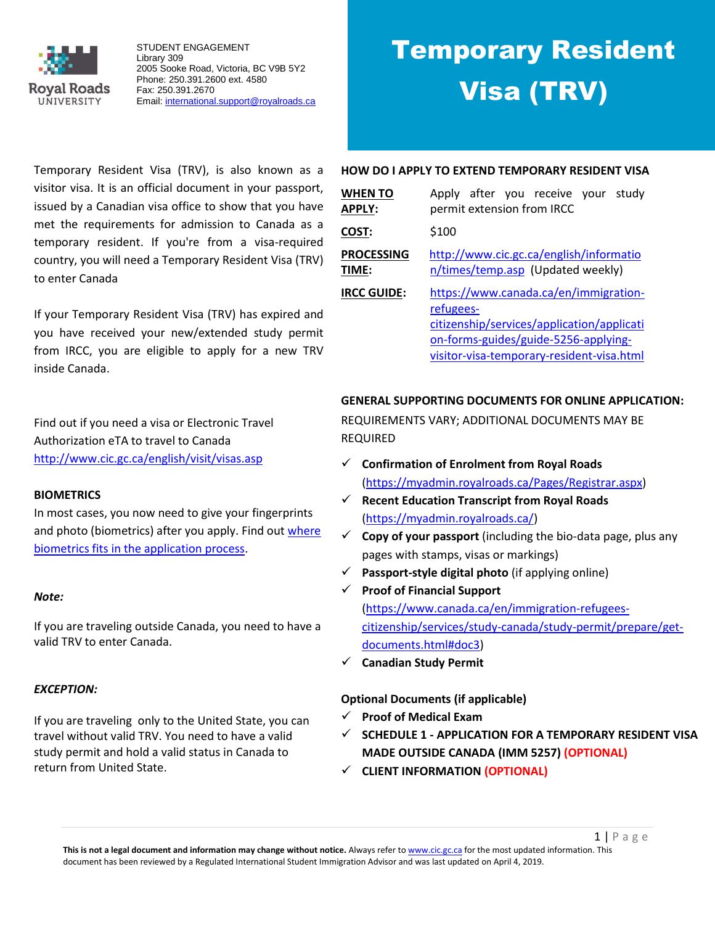

# Temporary Resident Visa (TRV)

Temporary Resident Visa (TRV), is also known as a visitor visa. It is an official document in your passport, issued by a Canadian visa office to show that you have met the requirements for admission to Canada as a temporary resident. If you're from a visa-required country, you will need a Temporary Resident Visa (TRV) to enter Canada

If your Temporary Resident Visa (TRV) has expired and you have received your new/extended study permit from IRCC, you are eligible to apply for a new TRV inside Canada.

Find out if you need a visa or Electronic Travel Authorization eTA to travel to Canada <http://www.cic.gc.ca/english/visit/visas.asp>

### **BIOMETRICS**

In most cases, you now need to give your fingerprints and photo (biometrics) after you apply. Find out [where](https://www.canada.ca/en/immigration-refugees-citizenship/services/study-canada/work/after-graduation/apply.html#biometric-process)  [biometrics fits in the application process.](https://www.canada.ca/en/immigration-refugees-citizenship/services/study-canada/work/after-graduation/apply.html#biometric-process)

### *Note:*

If you are traveling outside Canada, you need to have a valid TRV to enter Canada.

### *EXCEPTION:*

If you are traveling only to the United State, you can travel without valid TRV. You need to have a valid study permit and hold a valid status in Canada to return from United State.

### **HOW DO I APPLY TO EXTEND TEMPORARY RESIDENT VISA**

| <b>WHEN TO</b>     | Apply after you receive your study                                                                                                                                                    |  |  |
|--------------------|---------------------------------------------------------------------------------------------------------------------------------------------------------------------------------------|--|--|
| <b>APPLY:</b>      | permit extension from IRCC                                                                                                                                                            |  |  |
| COST:              | \$100                                                                                                                                                                                 |  |  |
| <b>PROCESSING</b>  | http://www.cic.gc.ca/english/informatio                                                                                                                                               |  |  |
| TIME:              | n/times/temp.asp (Updated weekly)                                                                                                                                                     |  |  |
| <b>IRCC GUIDE:</b> | https://www.canada.ca/en/immigration-<br>refugees-<br>citizenship/services/application/applicati<br>on-forms-guides/guide-5256-applying-<br>visitor-visa-temporary-resident-visa.html |  |  |

### **GENERAL SUPPORTING DOCUMENTS FOR ONLINE APPLICATION:**

REQUIREMENTS VARY; ADDITIONAL DOCUMENTS MAY BE REQUIRED

- **Confirmation of Enrolment from Royal Roads**  [\(https://myadmin.royalroads.ca/Pages/Registrar.aspx\)](https://myadmin.royalroads.ca/Pages/Registrar.aspx)
- **Recent Education Transcript from Royal Roads**  [\(https://myadmin.royalroads.ca/\)](https://myadmin.royalroads.ca/)
- $\checkmark$  **Copy of your passport** (including the bio-data page, plus any pages with stamps, visas or markings)
- **Passport-style digital photo** (if applying online)
- **Proof of Financial Support**  [\(https://www.canada.ca/en/immigration-refugees](https://www.canada.ca/en/immigration-refugees-citizenship/services/study-canada/study-permit/prepare/get-documents.html#doc3)[citizenship/services/study-canada/study-permit/prepare/get](https://www.canada.ca/en/immigration-refugees-citizenship/services/study-canada/study-permit/prepare/get-documents.html#doc3)[documents.html#doc3\)](https://www.canada.ca/en/immigration-refugees-citizenship/services/study-canada/study-permit/prepare/get-documents.html#doc3)
- **Canadian Study Permit**

### **Optional Documents (if applicable)**

- **Proof of Medical Exam**
- **SCHEDULE 1 - APPLICATION FOR A TEMPORARY RESIDENT VISA MADE OUTSIDE CANADA (IMM 5257) (OPTIONAL)**
- **CLIENT INFORMATION (OPTIONAL)**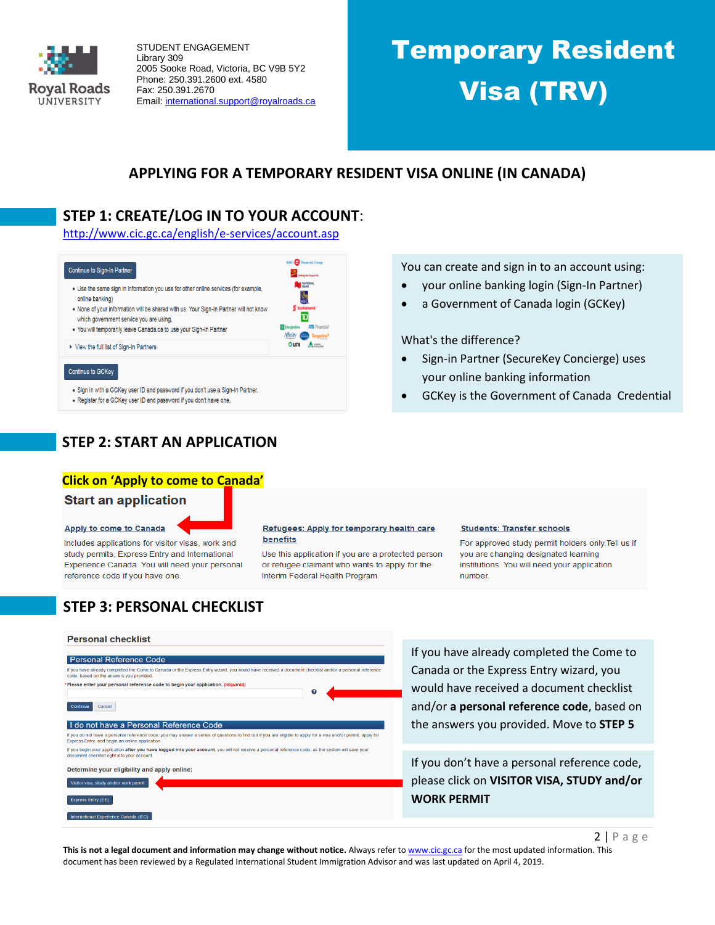

# Temporary Resident Visa (TRV)

# **APPLYING FOR A TEMPORARY RESIDENT VISA ONLINE (IN CANADA)**

## **STEP 1: CREATE/LOG IN TO YOUR ACCOUNT**:

<http://www.cic.gc.ca/english/e-services/account.asp>



- . Sign in with a GCKey user ID and password if you don't use a Sign-In Partner.
- . Register for a GCKey user ID and password if you don't have one.

# **STEP 2: START AN APPLICATION**

### **Click on 'Apply to come to Canada'**

### **Start an application**

### Apply to come to Canada

Includes applications for visitor visas, work and study permits, Express Entry and International Experience Canada. You will need your personal reference code if you have one.

#### Refugees: Apply for temporary health care benefits

Use this application if you are a protected person or refugee claimant who wants to apply for the Interim Federal Health Program.

# a Government of Canada login (GCKey)

You can create and sign in to an account using: your online banking login (Sign-In Partner)

### What's the difference?

- Sign-in Partner (SecureKey Concierge) uses your online banking information
- GCKey is the Government of Canada Credential

#### **Students: Transfer schools**

For approved study permit holders only. Tell us if you are changing designated learning institutions. You will need your application number.

# **STEP 3: PERSONAL CHECKLIST**

#### **Personal checklist**

### **Personal Reference Code**

#### If you have already completed the Come to Canada or the Express Entry wizard, you would have rode, based on the answers you provided. ed a document checklist and/or a personal re Please enter your personal reference code to begin your application. (req  $\mathbf{o}$

#### Continue Cancel

#### I do not have a Personal Reference Code

If you do not have a personal reference code, you may answer a series of questions to find out if you are eligible to apply for a visa and/or permit, apply fo<br>Express Entry, and begin an online application. If you begin your application after you have logged into your account, you will not receive a personal reference code, as the system will save you<br>document checklist right into your account.

### Determine your eligibility and apply online:

 $\epsilon$  isitor visa, study and/or work permit Express Entry (EE) Step 3: **Step 3: According 2: According IRCCC** question and find out whether and find out whether you are eligible to a product out when the step  $\mathcal{L}$ 

## If you have already completed the Come to Canada or the Express Entry wizard, you would have received a document checklist and/or **a personal reference code**, based on the answers you provided. Move to **STEP 5**

If you don't have a personal reference code, please click on **VISITOR VISA, STUDY and/or WORK PERMIT**

This is not a legal document and information may change without notice. Always refer t[o www.cic.gc.ca](http://www.cic.gc.ca/) for the most updated information. This document has been reviewed by a Regulated International Student Immigration Advisor and was last updated on April 4, 2019.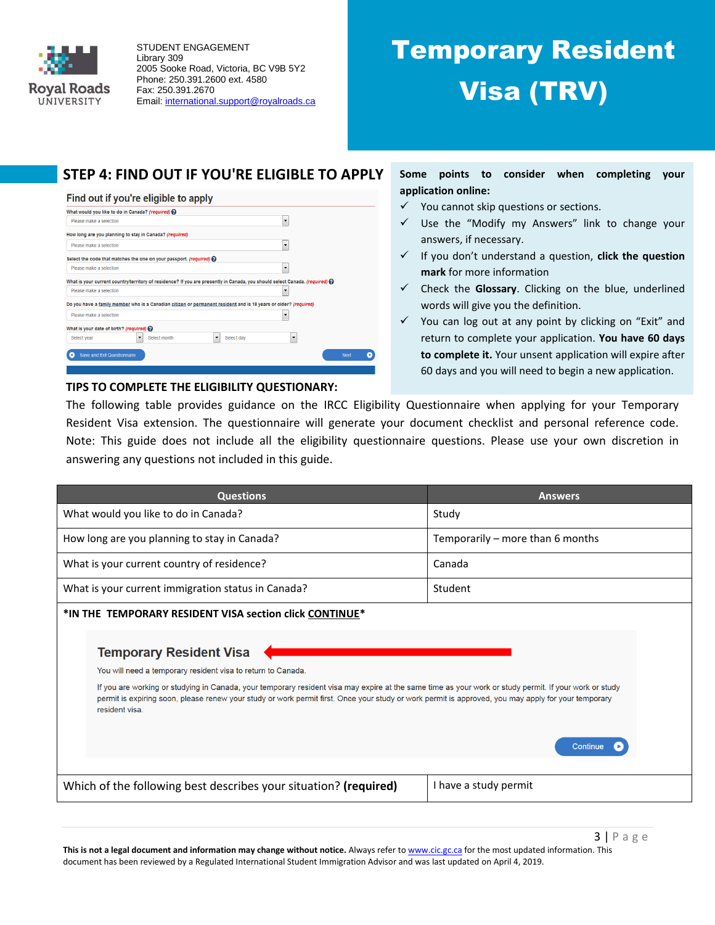

# Temporary Resident Visa (TRV)

## **STEP 4: FIND OUT IF YOU'RE ELIGIBLE TO APPLY**



### **TIPS TO COMPLETE THE ELIGIBILITY QUESTIONARY:**

**Some points to consider when completing your application online:** 

- $\checkmark$  You cannot skip questions or sections.
- $\checkmark$  Use the "Modify my Answers" link to change your answers, if necessary.
- If you don't understand a question, **click the question mark** for more information
- $\checkmark$  Check the Glossary. Clicking on the blue, underlined words will give you the definition.
- $\checkmark$  You can log out at any point by clicking on "Exit" and return to complete your application. **You have 60 days to complete it.** Your unsent application will expire after 60 days and you will need to begin a new application.

The following table provides guidance on the IRCC Eligibility Questionnaire when applying for your Temporary Resident Visa extension. The questionnaire will generate your document checklist and personal reference code. Note: This guide does not include all the eligibility questionnaire questions. Please use your own discretion in answering any questions not included in this guide.

| <b>Questions</b>                                                                                                                                                                                                                                                                                                                                                                                                                                                                             | <b>Answers</b>                   |  |  |  |  |
|----------------------------------------------------------------------------------------------------------------------------------------------------------------------------------------------------------------------------------------------------------------------------------------------------------------------------------------------------------------------------------------------------------------------------------------------------------------------------------------------|----------------------------------|--|--|--|--|
| What would you like to do in Canada?                                                                                                                                                                                                                                                                                                                                                                                                                                                         | Study                            |  |  |  |  |
| How long are you planning to stay in Canada?                                                                                                                                                                                                                                                                                                                                                                                                                                                 | Temporarily – more than 6 months |  |  |  |  |
| What is your current country of residence?                                                                                                                                                                                                                                                                                                                                                                                                                                                   | Canada                           |  |  |  |  |
| What is your current immigration status in Canada?                                                                                                                                                                                                                                                                                                                                                                                                                                           | Student                          |  |  |  |  |
| *IN THE TEMPORARY RESIDENT VISA section click CONTINUE*<br><b>Temporary Resident Visa</b><br>You will need a temporary resident visa to return to Canada.<br>If you are working or studying in Canada, your temporary resident visa may expire at the same time as your work or study permit. If your work or study<br>permit is expiring soon, please renew your study or work permit first. Once your study or work permit is approved, you may apply for your temporary<br>resident visa. | Continue                         |  |  |  |  |
| Which of the following best describes your situation? (required)                                                                                                                                                                                                                                                                                                                                                                                                                             | I have a study permit            |  |  |  |  |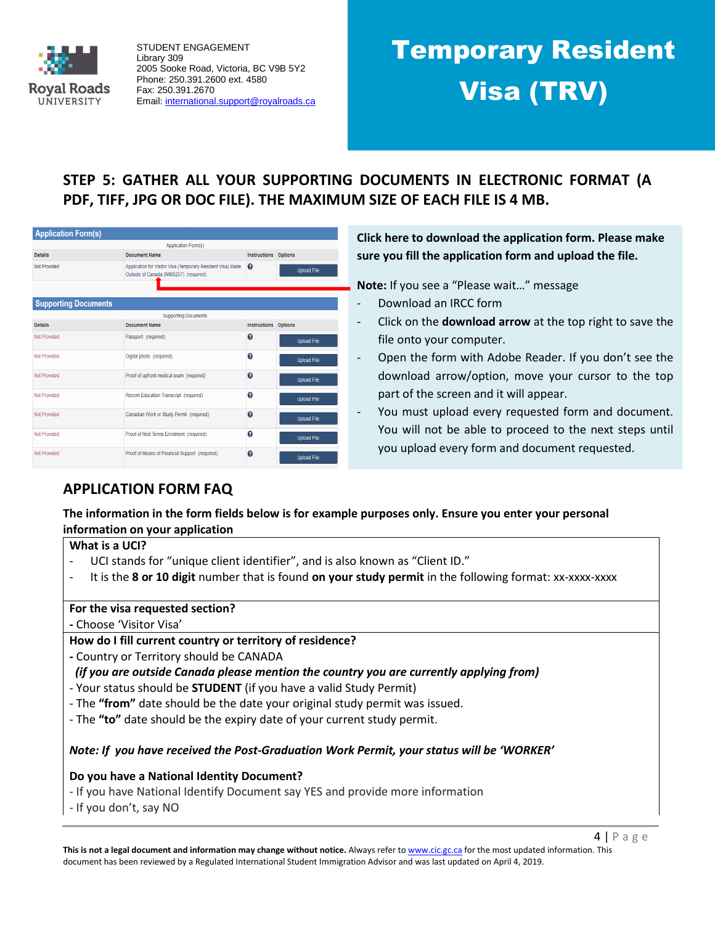

# Temporary Resident Visa (TRV)

# **STEP 5: GATHER ALL YOUR SUPPORTING DOCUMENTS IN ELECTRONIC FORMAT (A PDF, TIFF, JPG OR DOC FILE). THE MAXIMUM SIZE OF EACH FILE IS 4 MB.**

| <b>Application Form(s)</b>  |                                                                                                       |                       |                    |  |
|-----------------------------|-------------------------------------------------------------------------------------------------------|-----------------------|--------------------|--|
|                             | <b>Application Form(s)</b>                                                                            |                       |                    |  |
| <b>Details</b>              | <b>Document Name</b>                                                                                  | <b>Instructions</b>   | <b>Options</b>     |  |
| Not Provided                | Application for Visitor Visa (Temporary Resident Visa) Made<br>Outside of Canada (IMM5257) (required) | Q                     | <b>Upload File</b> |  |
|                             |                                                                                                       |                       |                    |  |
| <b>Supporting Documents</b> |                                                                                                       |                       |                    |  |
|                             | <b>Supporting Documents</b>                                                                           |                       |                    |  |
| <b>Details</b>              | <b>Document Name</b>                                                                                  | <b>Instructions</b>   | <b>Options</b>     |  |
| Not Provided                | Passport (required)                                                                                   | ค                     | <b>Upload File</b> |  |
| Not Provided                | Digital photo (required)                                                                              | Q                     | <b>Upload File</b> |  |
| Not Provided                | Proof of upfront medical exam (required)                                                              | ิค                    | <b>Upload File</b> |  |
| Not Provided                | Recent Education Transcript (required)                                                                | 0                     | <b>Upload File</b> |  |
| Not Provided                | Canadian Work or Study Permit (required)                                                              | $\boldsymbol{\Omega}$ | <b>Upload File</b> |  |
| Not Provided                | Proof of Next Terms Enrolment (required)                                                              | 0                     | <b>Upload File</b> |  |
| Not Provided                | Proof of Means of Financial Support (required)                                                        | ค                     | <b>Upload File</b> |  |

**Click here to download the application form. Please make sure you fill the application form and upload the file.**

**Note:** If you see a "Please wait…" message

- Download an IRCC form
- Click on the **download arrow** at the top right to save the file onto your computer.
- Open the form with Adobe Reader. If you don't see the download arrow/option, move your cursor to the top part of the screen and it will appear.
- You must upload every requested form and document. You will not be able to proceed to the next steps until you upload every form and document requested.

# **APPLICATION FORM FAQ**

## **The information in the form fields below is for example purposes only. Ensure you enter your personal information on your application**

### **What is a UCI?**

- UCI stands for "unique client identifier", and is also known as "Client ID."
- It is the **8 or 10 digit** number that is found **on your study permit** in the following format: xx-xxxx-xxxx

### **For the visa requested section?**

**-** Choose 'Visitor Visa'

### **How do I fill current country or territory of residence?**

- **-** Country or Territory should be CANADA
- *(if you are outside Canada please mention the country you are currently applying from)*
- Your status should be **STUDENT** (if you have a valid Study Permit)
- The **"from"** date should be the date your original study permit was issued.
- The **"to"** date should be the expiry date of your current study permit.

### *Note: If you have received the Post-Graduation Work Permit, your status will be 'WORKER'*

### **Do you have a National Identity Document?**

- If you have National Identify Document say YES and provide more information
- If you don't, say NO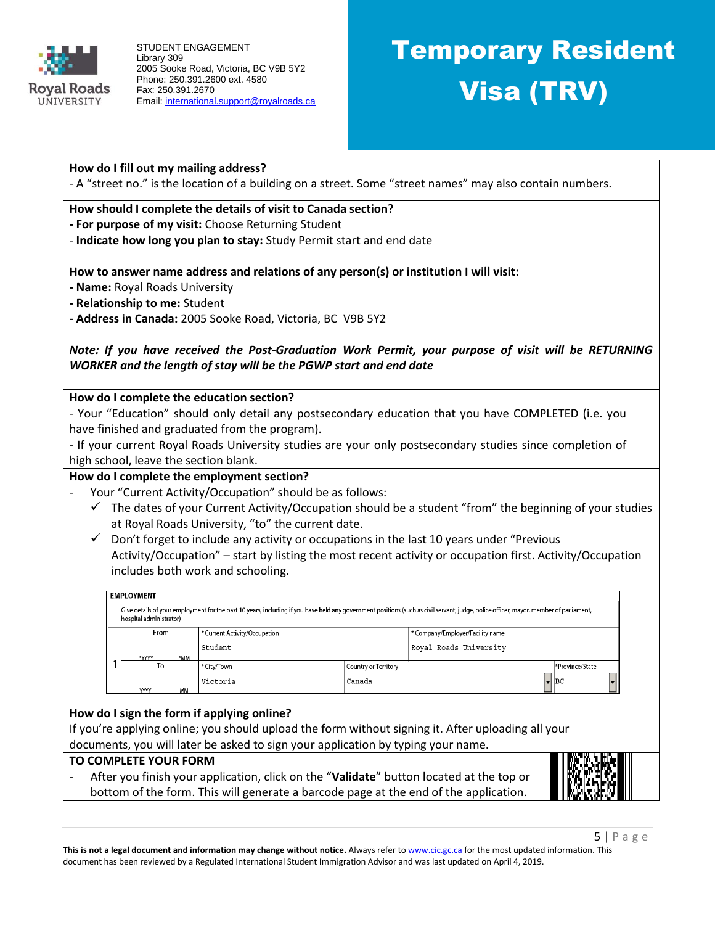

# Temporary Resident Visa (TRV)

### **How do I fill out my mailing address?**

- A "street no." is the location of a building on a street. Some "street names" may also contain numbers.

### **How should I complete the details of visit to Canada section?**

- **- For purpose of my visit:** Choose Returning Student
- **Indicate how long you plan to stay:** Study Permit start and end date

### **How to answer name address and relations of any person(s) or institution I will visit:**

- **- Name:** Royal Roads University
- **- Relationship to me:** Student
- **- Address in Canada:** 2005 Sooke Road, Victoria, BC V9B 5Y2

### *Note: If you have received the Post-Graduation Work Permit, your purpose of visit will be RETURNING WORKER and the length of stay will be the PGWP start and end date*

### **How do I complete the education section?**

- Your "Education" should only detail any postsecondary education that you have COMPLETED (i.e. you have finished and graduated from the program).

- If your current Royal Roads University studies are your only postsecondary studies since completion of high school, leave the section blank.

### **How do I complete the employment section?**

- Your "Current Activity/Occupation" should be as follows:
	- $\checkmark$  The dates of your Current Activity/Occupation should be a student "from" the beginning of your studies at Royal Roads University, "to" the current date.
	- $\checkmark$  Don't forget to include any activity or occupations in the last 10 years under "Previous" Activity/Occupation" – start by listing the most recent activity or occupation first. Activity/Occupation includes both work and schooling.

| <b>EMPLOYMENT</b>       |           |                                                                                                                                                                                        |                      |                                  |                             |
|-------------------------|-----------|----------------------------------------------------------------------------------------------------------------------------------------------------------------------------------------|----------------------|----------------------------------|-----------------------------|
| hospital administrator) |           | Give details of your employment for the past 10 years, including if you have held any government positions (such as civil servant, judge, police officer, mayor, member of parliament, |                      |                                  |                             |
| From                    |           | * Current Activity/Occupation                                                                                                                                                          |                      | * Company/Employer/Facility name |                             |
|                         |           | Student                                                                                                                                                                                |                      | Royal Roads University           |                             |
| *YYYY<br>*MM            |           |                                                                                                                                                                                        |                      |                                  |                             |
| To                      |           | * City/Town                                                                                                                                                                            | Country or Territory |                                  | *Province/State             |
|                         |           | Victoria                                                                                                                                                                               | Canada               |                                  | $\overline{\phantom{a}}$ BC |
| YYYY                    | <b>MM</b> |                                                                                                                                                                                        |                      |                                  |                             |

### **How do I sign the form if applying online?**

If you're applying online; you should upload the form without signing it. After uploading all your documents, you will later be asked to sign your application by typing your name.

### **TO COMPLETE YOUR FORM**

- After you finish your application, click on the "**Validate**" button located at the top or bottom of the form. This will generate a barcode page at the end of the application.